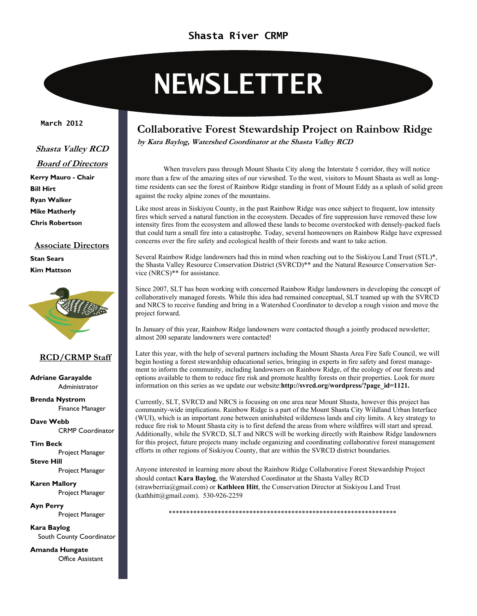#### **Shasta River CRMP**

# **NEWSLETTER**

#### **March 2012**

#### **Shasta Valley RCD**

- **Board of Directors**
- **Kerry Mauro Chair Bill Hirt Ryan Walker Mike Matherly Chris Robertson**

#### **Associate Directors Stan Sears Kim Mattson**



#### **RCD/CRMP Staff**

**Adriane Garayalde**  Administrator

**Brenda Nystrom**  Finance Manager

**Dave Webb**  CRMP Coordinator

**Tim Beck**  Project Manager **Steve Hill** 

Project Manager **Karen Mallory**  Project Manager

**Ayn Perry**  Project Manager

**Kara Baylog**  South County Coordinator

**Amanda Hungate**  Office Assistant

#### **Collaborative Forest Stewardship Project on Rainbow Ridge**

**by Kara Baylog, Watershed Coordinator at the Shasta Valley RCD**

 When travelers pass through Mount Shasta City along the Interstate 5 corridor, they will notice more than a few of the amazing sites of our viewshed. To the west, visitors to Mount Shasta as well as longtime residents can see the forest of Rainbow Ridge standing in front of Mount Eddy as a splash of solid green against the rocky alpine zones of the mountains.

Like most areas in Siskiyou County, in the past Rainbow Ridge was once subject to frequent, low intensity fires which served a natural function in the ecosystem. Decades of fire suppression have removed these low intensity fires from the ecosystem and allowed these lands to become overstocked with densely-packed fuels that could turn a small fire into a catastrophe. Today, several homeowners on Rainbow Ridge have expressed concerns over the fire safety and ecological health of their forests and want to take action.

Several Rainbow Ridge landowners had this in mind when reaching out to the Siskiyou Land Trust (STL)\*, the Shasta Valley Resource Conservation District (SVRCD)\*\* and the Natural Resource Conservation Service (NRCS)\*\* for assistance.

Since 2007, SLT has been working with concerned Rainbow Ridge landowners in developing the concept of collaboratively managed forests. While this idea had remained conceptual, SLT teamed up with the SVRCD and NRCS to receive funding and bring in a Watershed Coordinator to develop a rough vision and move the project forward.

In January of this year, Rainbow Ridge landowners were contacted though a jointly produced newsletter; almost 200 separate landowners were contacted!

Later this year, with the help of several partners including the Mount Shasta Area Fire Safe Council, we will begin hosting a forest stewardship educational series, bringing in experts in fire safety and forest management to inform the community, including landowners on Rainbow Ridge, of the ecology of our forests and options available to them to reduce fire risk and promote healthy forests on their properties. Look for more information on this series as we update our website:**http://svrcd.org/wordpress/?page\_id=1121.**

Currently, SLT, SVRCD and NRCS is focusing on one area near Mount Shasta, however this project has community-wide implications. Rainbow Ridge is a pa[rt of the Mount Shasta City Wildland Urban Interface](http://svrcd.org/wordpress/?page_id=1121)  (WUI), which is an important zone between uninhabited wilderness lands and city limits. A key strategy to reduce fire risk to Mount Shasta city is to first defend the areas from where wildfires will start and spread. Additionally, while the SVRCD, SLT and NRCS will be working directly with Rainbow Ridge landowners for this project, future projects many include organizing and coordinating collaborative forest management efforts in other regions of Siskiyou County, that are within the SVRCD district boundaries.

Anyone interested in learning more about the Rainbow Ridge Collaborative Forest Stewardship Project should contact **Kara Baylog**, the Watershed Coordinator at the Shasta Valley RCD (strawberria@gmail.com) or **Kathleen Hitt**, the Conservation Director at Siskiyou Land Trust (kathhitt@gmail.com). 530-926-2259

\*\*\*\*\*\*\*\*\*\*\*\*\*\*\*\*\*\*\*\*\*\*\*\*\*\*\*\*\*\*\*\*\*\*\*\*\*\*\*\*\*\*\*\*\*\*\*\*\*\*\*\*\*\*\*\*\*\*\*\*\*\*\*\*\*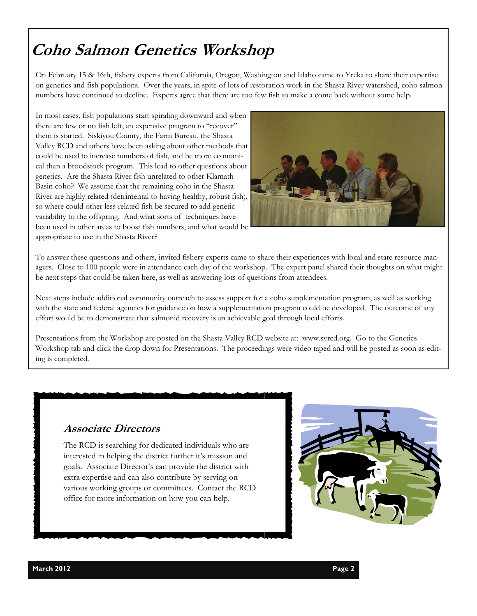## **Coho Salmon Genetics Workshop**

On February 15 & 16th, fishery experts from California, Oregon, Washington and Idaho came to Yreka to share their expertise on genetics and fish populations. Over the years, in spite of lots of restoration work in the Shasta River watershed, coho salmon numbers have continued to decline. Experts agree that there are too few fish to make a come back without some help.

In most cases, fish populations start spiraling downward and when there are few or no fish left, an expensive program to "recover" them is started. Siskiyou County, the Farm Bureau, the Shasta Valley RCD and others have been asking about other methods that could be used to increase numbers of fish, and be more economical than a broodstock program. This lead to other questions about genetics. Are the Shasta River fish unrelated to other Klamath Basin coho? We assume that the remaining coho in the Shasta River are highly related (detrimental to having healthy, robust fish), so where could other less related fish be secured to add genetic variability to the offspring. And what sorts of techniques have been used in other areas to boost fish numbers, and what would be appropriate to use in the Shasta River?



To answer these questions and others, invited fishery experts came to share their experiences with local and state resource managers. Close to 100 people were in attendance each day of the workshop. The expert panel shared their thoughts on what might be next steps that could be taken here, as well as answering lots of questions from attendees.

Next steps include additional community outreach to assess support for a coho supplementation program, as well as working with the state and federal agencies for guidance on how a supplementation program could be developed. The outcome of any effort would be to demonstrate that salmonid recovery is an achievable goal through local efforts.

Presentations from the Workshop are posted on the Shasta Valley RCD website at: www.svrcd.org. Go to the Genetics Workshop tab and click the drop down for Presentations. The proceedings were video taped and will be posted as soon as editing is completed.

#### **Associate Directors**

The RCD is searching for dedicated individuals who are interested in helping the district further it's mission and goals. Associate Director's can provide the district with extra expertise and can also contribute by serving on various working groups or committees. Contact the RCD office for more information on how you can help.

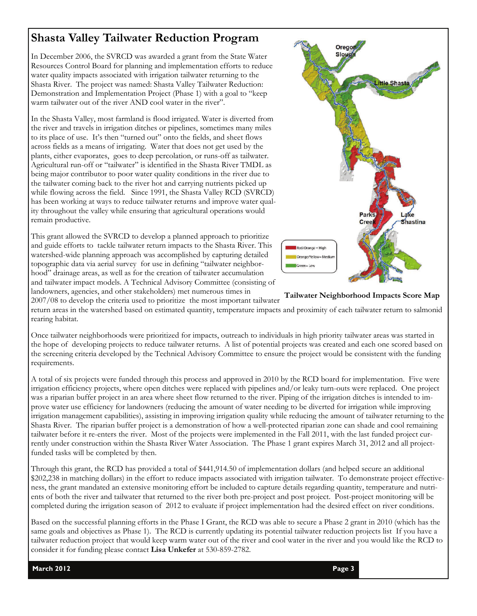## **Shasta Valley Tailwater Reduction Program**

In December 2006, the SVRCD was awarded a grant from the State Water Resources Control Board for planning and implementation efforts to reduce water quality impacts associated with irrigation tailwater returning to the Shasta River. The project was named: Shasta Valley Tailwater Reduction: Demonstration and Implementation Project (Phase 1) with a goal to "keep warm tailwater out of the river AND cool water in the river".

In the Shasta Valley, most farmland is flood irrigated. Water is diverted from the river and travels in irrigation ditches or pipelines, sometimes many miles to its place of use. It's then "turned out" onto the fields, and sheet flows across fields as a means of irrigating. Water that does not get used by the plants, either evaporates, goes to deep percolation, or runs-off as tailwater. Agricultural run-off or "tailwater" is identified in the Shasta River TMDL as being major contributor to poor water quality conditions in the river due to the tailwater coming back to the river hot and carrying nutrients picked up while flowing across the field. Since 1991, the Shasta Valley RCD (SVRCD) has been working at ways to reduce tailwater returns and improve water quality throughout the valley while ensuring that agricultural operations would remain productive.

This grant allowed the SVRCD to develop a planned approach to prioritize and guide efforts to tackle tailwater return impacts to the Shasta River. This watershed-wide planning approach was accomplished by capturing detailed topographic data via aerial survey for use in defining "tailwater neighborhood" drainage areas, as well as for the creation of tailwater accumulation and tailwater impact models. A Technical Advisory Committee (consisting of landowners, agencies, and other stakeholders) met numerous times in



**Tailwater Neighborhood Impacts Score Map** 

2007/08 to develop the criteria used to prioritize the most important tailwater return areas in the watershed based on estimated quantity, temperature impacts and proximity of each tailwater return to salmonid rearing habitat.

Once tailwater neighborhoods were prioritized for impacts, outreach to individuals in high priority tailwater areas was started in the hope of developing projects to reduce tailwater returns. A list of potential projects was created and each one scored based on the screening criteria developed by the Technical Advisory Committee to ensure the project would be consistent with the funding requirements.

A total of six projects were funded through this process and approved in 2010 by the RCD board for implementation. Five were irrigation efficiency projects, where open ditches were replaced with pipelines and/or leaky turn-outs were replaced. One project was a riparian buffer project in an area where sheet flow returned to the river. Piping of the irrigation ditches is intended to improve water use efficiency for landowners (reducing the amount of water needing to be diverted for irrigation while improving irrigation management capabilities), assisting in improving irrigation quality while reducing the amount of tailwater returning to the Shasta River. The riparian buffer project is a demonstration of how a well-protected riparian zone can shade and cool remaining tailwater before it re-enters the river. Most of the projects were implemented in the Fall 2011, with the last funded project currently under construction within the Shasta River Water Association. The Phase 1 grant expires March 31, 2012 and all projectfunded tasks will be completed by then.

Through this grant, the RCD has provided a total of \$441,914.50 of implementation dollars (and helped secure an additional \$202,238 in matching dollars) in the effort to reduce impacts associated with irrigation tailwater. To demonstrate project effectiveness, the grant mandated an extensive monitoring effort be included to capture details regarding quantity, temperature and nutrients of both the river and tailwater that returned to the river both pre-project and post project. Post-project monitoring will be completed during the irrigation season of 2012 to evaluate if project implementation had the desired effect on river conditions.

Based on the successful planning efforts in the Phase I Grant, the RCD was able to secure a Phase 2 grant in 2010 (which has the same goals and objectives as Phase 1). The RCD is currently updating its potential tailwater reduction projects list If you have a tailwater reduction project that would keep warm water out of the river and cool water in the river and you would like the RCD to consider it for funding please contact **Lisa Unkefer** at 530-859-2782.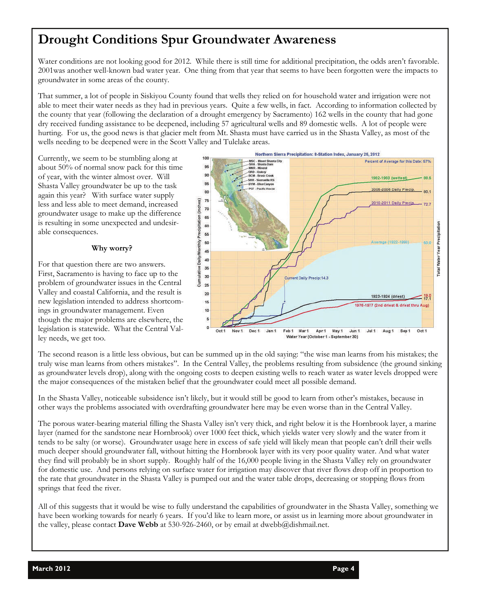## **Drought Conditions Spur Groundwater Awareness**

Water conditions are not looking good for 2012. While there is still time for additional precipitation, the odds aren't favorable. 2001was another well-known bad water year. One thing from that year that seems to have been forgotten were the impacts to groundwater in some areas of the county.

That summer, a lot of people in Siskiyou County found that wells they relied on for household water and irrigation were not able to meet their water needs as they had in previous years. Quite a few wells, in fact. According to information collected by the county that year (following the declaration of a drought emergency by Sacramento) 162 wells in the county that had gone dry received funding assistance to be deepened, including 57 agricultural wells and 89 domestic wells. A lot of people were hurting. For us, the good news is that glacier melt from Mt. Shasta must have carried us in the Shasta Valley, as most of the wells needing to be deepened were in the Scott Valley and Tulelake areas.

Currently, we seem to be stumbling along at about 50% of normal snow pack for this time of year, with the winter almost over. Will Shasta Valley groundwater be up to the task again this year? With surface water supply less and less able to meet demand, increased groundwater usage to make up the difference is resulting in some unexpected and undesirable consequences.

#### **Why worry?**

For that question there are two answers. First, Sacramento is having to face up to the problem of groundwater issues in the Central Valley and coastal California, and the result is new legislation intended to address shortcomings in groundwater management. Even though the major problems are elsewhere, the legislation is statewide. What the Central Valley needs, we get too.



The second reason is a little less obvious, but can be summed up in the old saying: "the wise man learns from his mistakes; the truly wise man learns from others mistakes". In the Central Valley, the problems resulting from subsidence (the ground sinking as groundwater levels drop), along with the ongoing costs to deepen existing wells to reach water as water levels dropped were the major consequences of the mistaken belief that the groundwater could meet all possible demand.

In the Shasta Valley, noticeable subsidence isn't likely, but it would still be good to learn from other's mistakes, because in other ways the problems associated with overdrafting groundwater here may be even worse than in the Central Valley.

The porous water-bearing material filling the Shasta Valley isn't very thick, and right below it is the Hornbrook layer, a marine layer (named for the sandstone near Hornbrook) over 1000 feet thick, which yields water very slowly and the water from it tends to be salty (or worse). Groundwater usage here in excess of safe yield will likely mean that people can't drill their wells much deeper should groundwater fall, without hitting the Hornbrook layer with its very poor quality water. And what water they find will probably be in short supply. Roughly half of the 16,000 people living in the Shasta Valley rely on groundwater for domestic use. And persons relying on surface water for irrigation may discover that river flows drop off in proportion to the rate that groundwater in the Shasta Valley is pumped out and the water table drops, decreasing or stopping flows from springs that feed the river.

All of this suggests that it would be wise to fully understand the capabilities of groundwater in the Shasta Valley, something we have been working towards for nearly 6 years. If you'd like to learn more, or assist us in learning more about groundwater in the valley, please contact **Dave Webb** at 530-926-2460, or by email at dwebb@dishmail.net.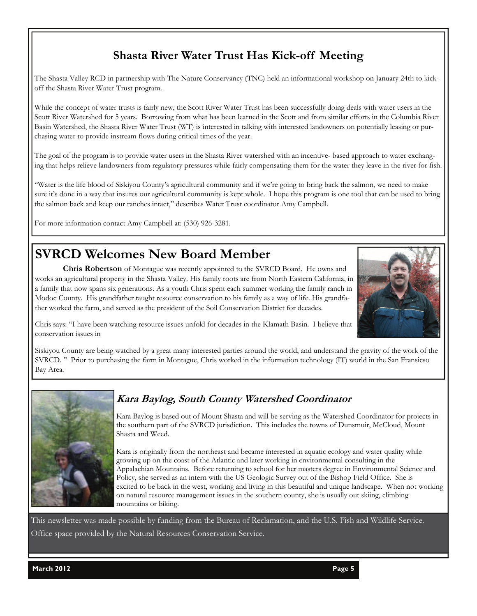## **Shasta River Water Trust Has Kick-off Meeting**

The Shasta Valley RCD in partnership with The Nature Conservancy (TNC) held an informational workshop on January 24th to kickoff the Shasta River Water Trust program.

While the concept of water trusts is fairly new, the Scott River Water Trust has been successfully doing deals with water users in the Scott River Watershed for 5 years. Borrowing from what has been learned in the Scott and from similar efforts in the Columbia River Basin Watershed, the Shasta River Water Trust (WT) is interested in talking with interested landowners on potentially leasing or purchasing water to provide instream flows during critical times of the year.

The goal of the program is to provide water users in the Shasta River watershed with an incentive- based approach to water exchanging that helps relieve landowners from regulatory pressures while fairly compensating them for the water they leave in the river for fish.

"Water is the life blood of Siskiyou County's agricultural community and if we're going to bring back the salmon, we need to make sure it's done in a way that insures our agricultural community is kept whole. I hope this program is one tool that can be used to bring the salmon back and keep our ranches intact," describes Water Trust coordinator Amy Campbell.

For more information contact Amy Campbell at: (530) 926-3281.

## **SVRCD Welcomes New Board Member**

 **Chris Robertson** of Montague was recently appointed to the SVRCD Board. He owns and works an agricultural property in the Shasta Valley. His family roots are from North Eastern California, in a family that now spans six generations. As a youth Chris spent each summer working the family ranch in Modoc County. His grandfather taught resource conservation to his family as a way of life. His grandfather worked the farm, and served as the president of the Soil Conservation District for decades.



Chris says: "I have been watching resource issues unfold for decades in the Klamath Basin. I believe that conservation issues in

Siskiyou County are being watched by a great many interested parties around the world, and understand the gravity of the work of the SVRCD. " Prior to purchasing the farm in Montague, Chris worked in the information technology (IT) world in the San Fransicso Bay Area.



### **Kara Baylog, South County Watershed Coordinator**

Kara Baylog is based out of Mount Shasta and will be serving as the Watershed Coordinator for projects in the southern part of the SVRCD jurisdiction. This includes the towns of Dunsmuir, McCloud, Mount Shasta and Weed.

Kara is originally from the northeast and became interested in aquatic ecology and water quality while growing up on the coast of the Atlantic and later working in environmental consulting in the Appalachian Mountains. Before returning to school for her masters degree in Environmental Science and Policy, she served as an intern with the US Geologic Survey out of the Bishop Field Office. She is excited to be back in the west, working and living in this beautiful and unique landscape. When not working on natural resource management issues in the southern county, she is usually out skiing, climbing mountains or biking.

This newsletter was made possible by funding from the Bureau of Reclamation, and the U.S. Fish and Wildlife Service. Office space provided by the Natural Resources Conservation Service.

**March 2012 Page 5**